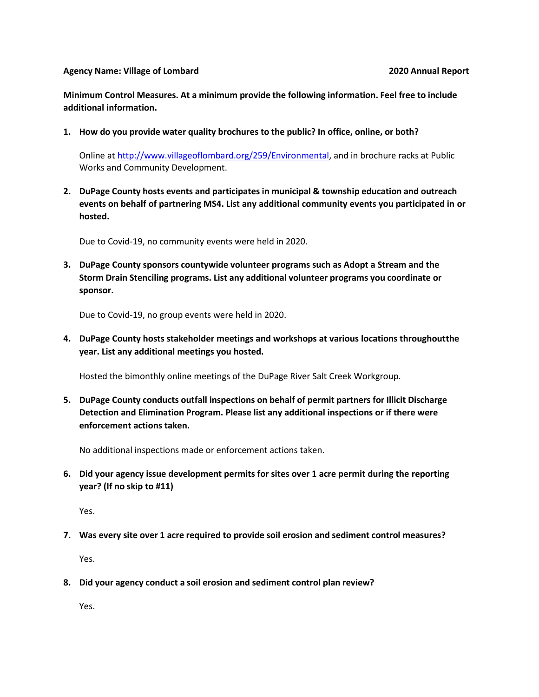## **Agency Name: Village of Lombard 2020 Annual Report**

**Minimum Control Measures. At a minimum provide the following information. Feel free to include additional information.**

**1. How do you provide water quality brochures to the public? In office, online, or both?**

Online at [http://www.villageoflombard.org/259/Environmental,](http://www.villageoflombard.org/259/Environmental) and in brochure racks at Public Works and Community Development.

**2. DuPage County hosts events and participatesin municipal & township education and outreach events on behalf of partnering MS4. List any additional community events you participated in or hosted.**

Due to Covid-19, no community events were held in 2020.

**3. DuPage County sponsors countywide volunteer programs such as Adopt a Stream and the Storm Drain Stenciling programs. List any additional volunteer programs you coordinate or sponsor.**

Due to Covid-19, no group events were held in 2020.

**4. DuPage County hosts stakeholder meetings and workshops at various locations throughoutthe year. List any additional meetings you hosted.**

Hosted the bimonthly online meetings of the DuPage River Salt Creek Workgroup.

**5. DuPage County conducts outfall inspections on behalf of permit partners for Illicit Discharge Detection and Elimination Program. Please list any additional inspections or if there were enforcement actions taken.**

No additional inspections made or enforcement actions taken.

**6. Did your agency issue development permits for sites over 1 acre permit during the reporting year? (If no skip to #11)**

Yes.

**7. Was every site over 1 acre required to provide soil erosion and sediment control measures?**

Yes.

**8. Did your agency conduct a soil erosion and sediment control plan review?**

Yes.